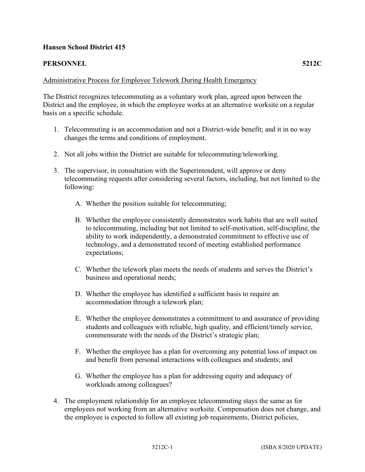## **Hansen School District 415**

## **PERSONNEL 5212C**

## Administrative Process for Employee Telework During Health Emergency

The District recognizes telecommuting as a voluntary work plan, agreed upon between the District and the employee, in which the employee works at an alternative worksite on a regular basis on a specific schedule.

- 1. Telecommuting is an accommodation and not a District-wide benefit; and it in no way changes the terms and conditions of employment.
- 2. Not all jobs within the District are suitable for telecommuting/teleworking.
- 3. The supervisor, in consultation with the Superintendent, will approve or deny telecommuting requests after considering several factors, including, but not limited to the following:
	- A. Whether the position suitable for telecommuting;
	- B. Whether the employee consistently demonstrates work habits that are well suited to telecommuting, including but not limited to self-motivation, self-discipline, the ability to work independently, a demonstrated commitment to effective use of technology, and a demonstrated record of meeting established performance expectations;
	- C. Whether the telework plan meets the needs of students and serves the District's business and operational needs;
	- D. Whether the employee has identified a sufficient basis to require an accommodation through a telework plan;
	- E. Whether the employee demonstrates a commitment to and assurance of providing students and colleagues with reliable, high quality, and efficient/timely service, commensurate with the needs of the District's strategic plan;
	- F. Whether the employee has a plan for overcoming any potential loss of impact on and benefit from personal interactions with colleagues and students; and
	- G. Whether the employee has a plan for addressing equity and adequacy of workloads among colleagues?
- 4. The employment relationship for an employee telecommuting stays the same as for employees not working from an alternative worksite. Compensation does not change, and the employee is expected to follow all existing job requirements, District policies,